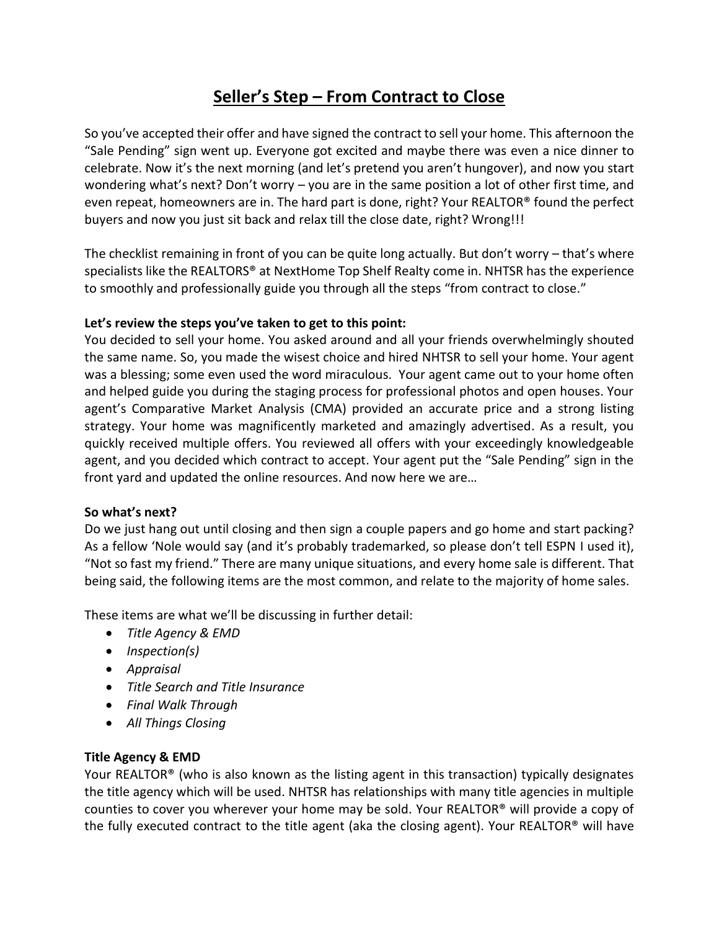# **Seller's Step – From Contract to Close**

So you've accepted their offer and have signed the contract to sell your home. This afternoon the "Sale Pending" sign went up. Everyone got excited and maybe there was even a nice dinner to celebrate. Now it's the next morning (and let's pretend you aren't hungover), and now you start wondering what's next? Don't worry – you are in the same position a lot of other first time, and even repeat, homeowners are in. The hard part is done, right? Your REALTOR® found the perfect buyers and now you just sit back and relax till the close date, right? Wrong!!!

The checklist remaining in front of you can be quite long actually. But don't worry – that's where specialists like the REALTORS® at NextHome Top Shelf Realty come in. NHTSR has the experience to smoothly and professionally guide you through all the steps "from contract to close."

## **Let's review the steps you've taken to get to this point:**

You decided to sell your home. You asked around and all your friends overwhelmingly shouted the same name. So, you made the wisest choice and hired NHTSR to sell your home. Your agent was a blessing; some even used the word miraculous. Your agent came out to your home often and helped guide you during the staging process for professional photos and open houses. Your agent's Comparative Market Analysis (CMA) provided an accurate price and a strong listing strategy. Your home was magnificently marketed and amazingly advertised. As a result, you quickly received multiple offers. You reviewed all offers with your exceedingly knowledgeable agent, and you decided which contract to accept. Your agent put the "Sale Pending" sign in the front yard and updated the online resources. And now here we are…

## **So what's next?**

Do we just hang out until closing and then sign a couple papers and go home and start packing? As a fellow 'Nole would say (and it's probably trademarked, so please don't tell ESPN I used it), "Not so fast my friend." There are many unique situations, and every home sale is different. That being said, the following items are the most common, and relate to the majority of home sales.

These items are what we'll be discussing in further detail:

- *Title Agency & EMD*
- *Inspection(s)*
- *Appraisal*
- *Title Search and Title Insurance*
- *Final Walk Through*
- *All Things Closing*

## **Title Agency & EMD**

Your REALTOR® (who is also known as the listing agent in this transaction) typically designates the title agency which will be used. NHTSR has relationships with many title agencies in multiple counties to cover you wherever your home may be sold. Your REALTOR® will provide a copy of the fully executed contract to the title agent (aka the closing agent). Your REALTOR® will have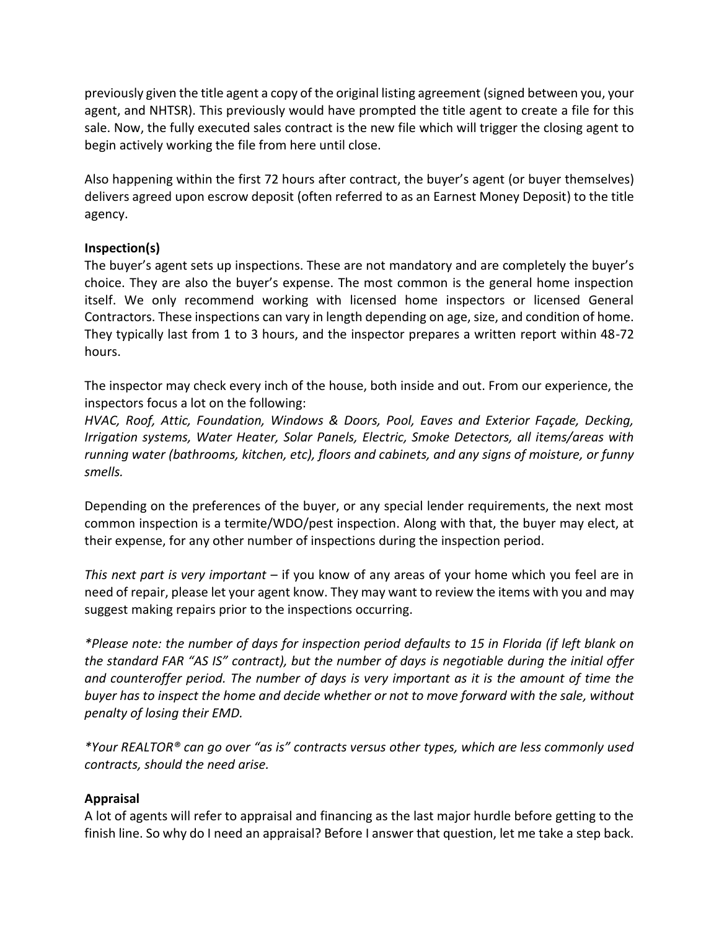previously given the title agent a copy of the original listing agreement (signed between you, your agent, and NHTSR). This previously would have prompted the title agent to create a file for this sale. Now, the fully executed sales contract is the new file which will trigger the closing agent to begin actively working the file from here until close.

Also happening within the first 72 hours after contract, the buyer's agent (or buyer themselves) delivers agreed upon escrow deposit (often referred to as an Earnest Money Deposit) to the title agency.

#### **Inspection(s)**

The buyer's agent sets up inspections. These are not mandatory and are completely the buyer's choice. They are also the buyer's expense. The most common is the general home inspection itself. We only recommend working with licensed home inspectors or licensed General Contractors. These inspections can vary in length depending on age, size, and condition of home. They typically last from 1 to 3 hours, and the inspector prepares a written report within 48-72 hours.

The inspector may check every inch of the house, both inside and out. From our experience, the inspectors focus a lot on the following:

*HVAC, Roof, Attic, Foundation, Windows & Doors, Pool, Eaves and Exterior Façade, Decking, Irrigation systems, Water Heater, Solar Panels, Electric, Smoke Detectors, all items/areas with running water (bathrooms, kitchen, etc), floors and cabinets, and any signs of moisture, or funny smells.* 

Depending on the preferences of the buyer, or any special lender requirements, the next most common inspection is a termite/WDO/pest inspection. Along with that, the buyer may elect, at their expense, for any other number of inspections during the inspection period.

*This next part is very important* – if you know of any areas of your home which you feel are in need of repair, please let your agent know. They may want to review the items with you and may suggest making repairs prior to the inspections occurring.

*\*Please note: the number of days for inspection period defaults to 15 in Florida (if left blank on the standard FAR "AS IS" contract), but the number of days is negotiable during the initial offer and counteroffer period. The number of days is very important as it is the amount of time the buyer has to inspect the home and decide whether or not to move forward with the sale, without penalty of losing their EMD.* 

*\*Your REALTOR® can go over "as is" contracts versus other types, which are less commonly used contracts, should the need arise.* 

#### **Appraisal**

A lot of agents will refer to appraisal and financing as the last major hurdle before getting to the finish line. So why do I need an appraisal? Before I answer that question, let me take a step back.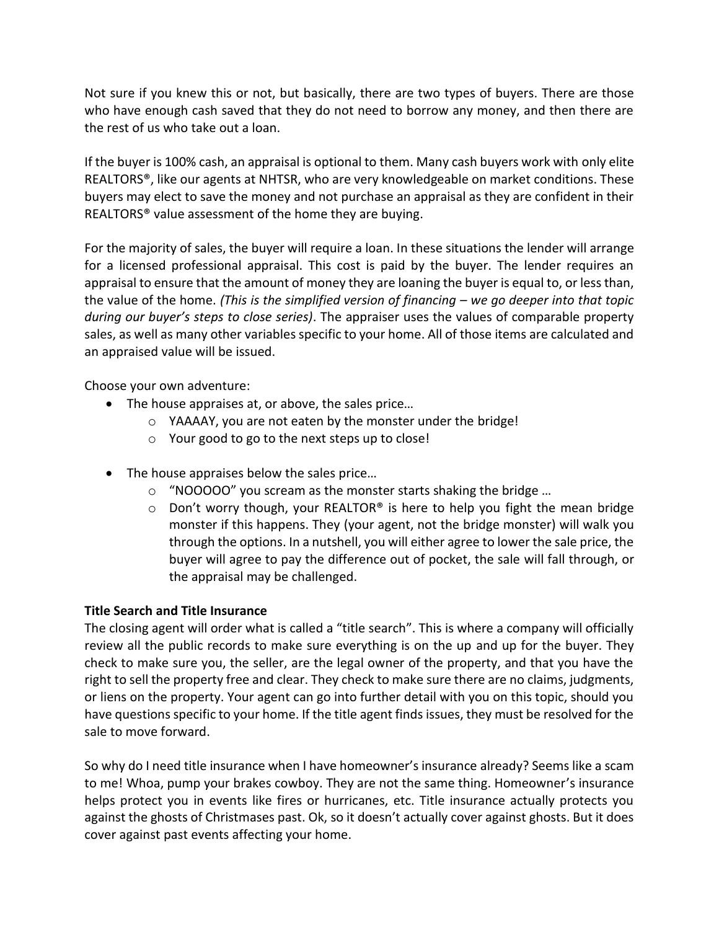Not sure if you knew this or not, but basically, there are two types of buyers. There are those who have enough cash saved that they do not need to borrow any money, and then there are the rest of us who take out a loan.

If the buyer is 100% cash, an appraisal is optional to them. Many cash buyers work with only elite REALTORS®, like our agents at NHTSR, who are very knowledgeable on market conditions. These buyers may elect to save the money and not purchase an appraisal as they are confident in their REALTORS® value assessment of the home they are buying.

For the majority of sales, the buyer will require a loan. In these situations the lender will arrange for a licensed professional appraisal. This cost is paid by the buyer. The lender requires an appraisal to ensure that the amount of money they are loaning the buyer is equal to, or less than, the value of the home. *(This is the simplified version of financing – we go deeper into that topic during our buyer's steps to close series)*. The appraiser uses the values of comparable property sales, as well as many other variables specific to your home. All of those items are calculated and an appraised value will be issued.

Choose your own adventure:

- The house appraises at, or above, the sales price…
	- o YAAAAY, you are not eaten by the monster under the bridge!
	- o Your good to go to the next steps up to close!
- The house appraises below the sales price...
	- o "NOOOOO" you scream as the monster starts shaking the bridge …
	- $\circ$  Don't worry though, your REALTOR<sup>®</sup> is here to help you fight the mean bridge monster if this happens. They (your agent, not the bridge monster) will walk you through the options. In a nutshell, you will either agree to lower the sale price, the buyer will agree to pay the difference out of pocket, the sale will fall through, or the appraisal may be challenged.

# **Title Search and Title Insurance**

The closing agent will order what is called a "title search". This is where a company will officially review all the public records to make sure everything is on the up and up for the buyer. They check to make sure you, the seller, are the legal owner of the property, and that you have the right to sell the property free and clear. They check to make sure there are no claims, judgments, or liens on the property. Your agent can go into further detail with you on this topic, should you have questions specific to your home. If the title agent finds issues, they must be resolved for the sale to move forward.

So why do I need title insurance when I have homeowner's insurance already? Seems like a scam to me! Whoa, pump your brakes cowboy. They are not the same thing. Homeowner's insurance helps protect you in events like fires or hurricanes, etc. Title insurance actually protects you against the ghosts of Christmases past. Ok, so it doesn't actually cover against ghosts. But it does cover against past events affecting your home.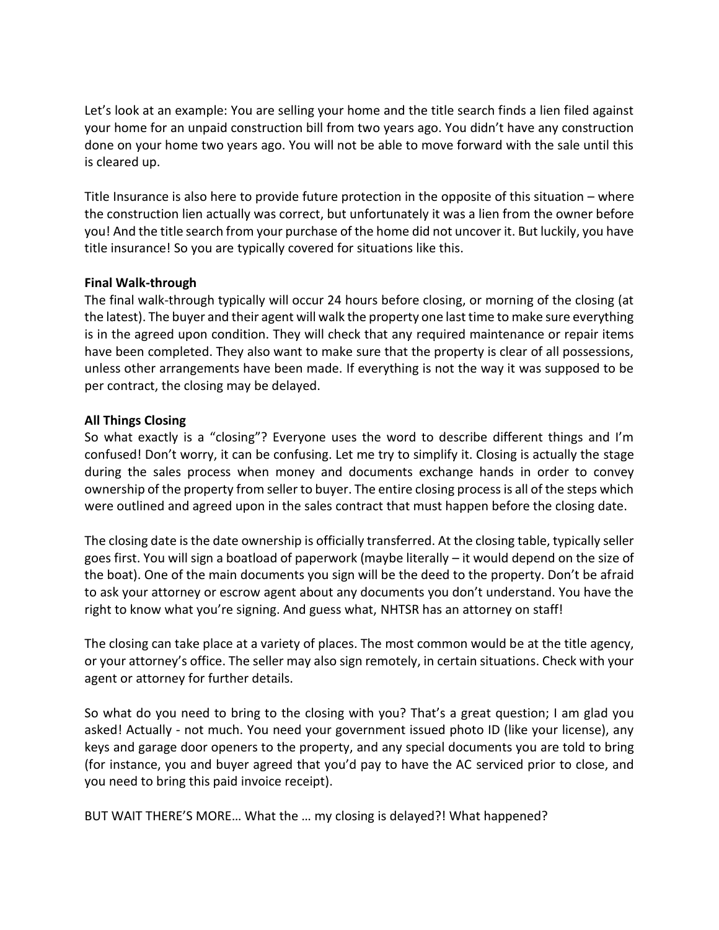Let's look at an example: You are selling your home and the title search finds a lien filed against your home for an unpaid construction bill from two years ago. You didn't have any construction done on your home two years ago. You will not be able to move forward with the sale until this is cleared up.

Title Insurance is also here to provide future protection in the opposite of this situation – where the construction lien actually was correct, but unfortunately it was a lien from the owner before you! And the title search from your purchase of the home did not uncover it. But luckily, you have title insurance! So you are typically covered for situations like this.

#### **Final Walk-through**

The final walk-through typically will occur 24 hours before closing, or morning of the closing (at the latest). The buyer and their agent will walk the property one last time to make sure everything is in the agreed upon condition. They will check that any required maintenance or repair items have been completed. They also want to make sure that the property is clear of all possessions, unless other arrangements have been made. If everything is not the way it was supposed to be per contract, the closing may be delayed.

#### **All Things Closing**

So what exactly is a "closing"? Everyone uses the word to describe different things and I'm confused! Don't worry, it can be confusing. Let me try to simplify it. Closing is actually the stage during the sales process when money and documents exchange hands in order to convey ownership of the property from seller to buyer. The entire closing process is all of the steps which were outlined and agreed upon in the sales contract that must happen before the closing date.

The closing date is the date ownership is officially transferred. At the closing table, typically seller goes first. You will sign a boatload of paperwork (maybe literally – it would depend on the size of the boat). One of the main documents you sign will be the deed to the property. Don't be afraid to ask your attorney or escrow agent about any documents you don't understand. You have the right to know what you're signing. And guess what, NHTSR has an attorney on staff!

The closing can take place at a variety of places. The most common would be at the title agency, or your attorney's office. The seller may also sign remotely, in certain situations. Check with your agent or attorney for further details.

So what do you need to bring to the closing with you? That's a great question; I am glad you asked! Actually - not much. You need your government issued photo ID (like your license), any keys and garage door openers to the property, and any special documents you are told to bring (for instance, you and buyer agreed that you'd pay to have the AC serviced prior to close, and you need to bring this paid invoice receipt).

BUT WAIT THERE'S MORE… What the … my closing is delayed?! What happened?